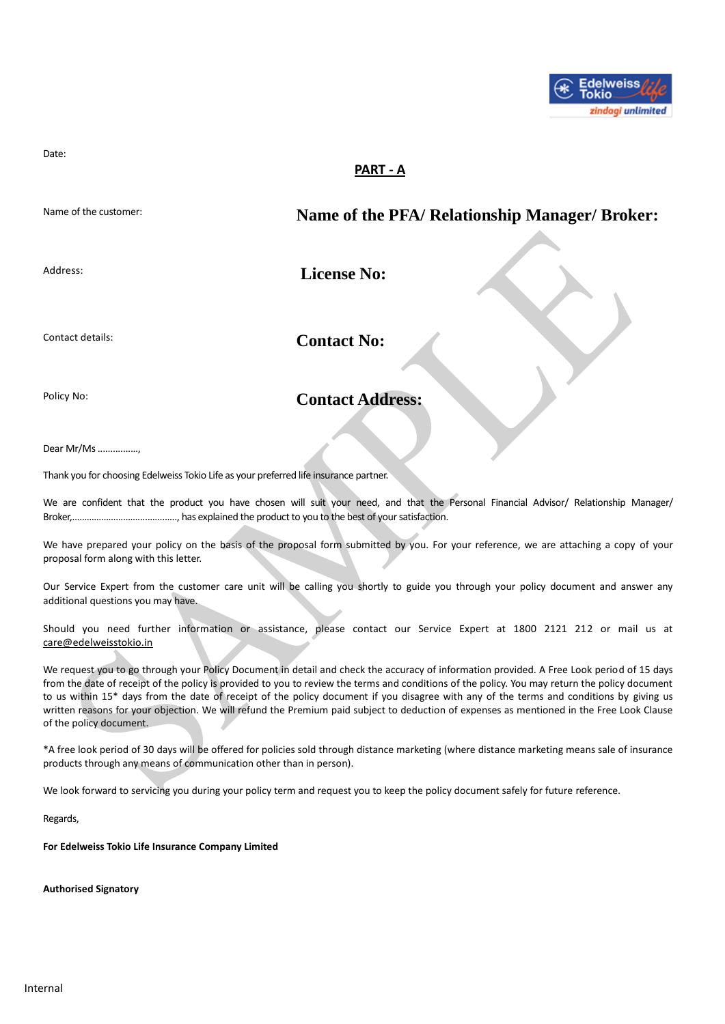

Date:

# **PART - A**

Name of the customer: **Name of the PFA/ Relationship Manager/ Broker:**

Address: **License No: License No:** 

Contact details: **Contact No:** 

# Policy No: **Contact Address:**

Dear Mr/Ms ................,

Thank you for choosing Edelweiss Tokio Life as your preferred life insurance partner.

We are confident that the product you have chosen will suit your need, and that the Personal Financial Advisor/ Relationship Manager/ Broker,………………………................, has explained the product to you to the best of your satisfaction.

We have prepared your policy on the basis of the proposal form submitted by you. For your reference, we are attaching a copy of your proposal form along with this letter.

Our Service Expert from the customer care unit will be calling you shortly to guide you through your policy document and answer any additional questions you may have.

Should you need further information or assistance, please contact our Service Expert at 1800 2121 212 or mail us at [care@edelweisstokio.in](mailto:care@edelweisstokio.in)

We request you to go through your Policy Document in detail and check the accuracy of information provided. A Free Look period of 15 days from the date of receipt of the policy is provided to you to review the terms and conditions of the policy. You may return the policy document to us within 15<sup>\*</sup> days from the date of receipt of the policy document if you disagree with any of the terms and conditions by giving us written reasons for your objection. We will refund the Premium paid subject to deduction of expenses as mentioned in the Free Look Clause of the policy document.

\*A free look period of 30 days will be offered for policies sold through distance marketing (where distance marketing means sale of insurance products through any means of communication other than in person).

We look forward to servicing you during your policy term and request you to keep the policy document safely for future reference.

Regards,

**For Edelweiss Tokio Life Insurance Company Limited**

**Authorised Signatory**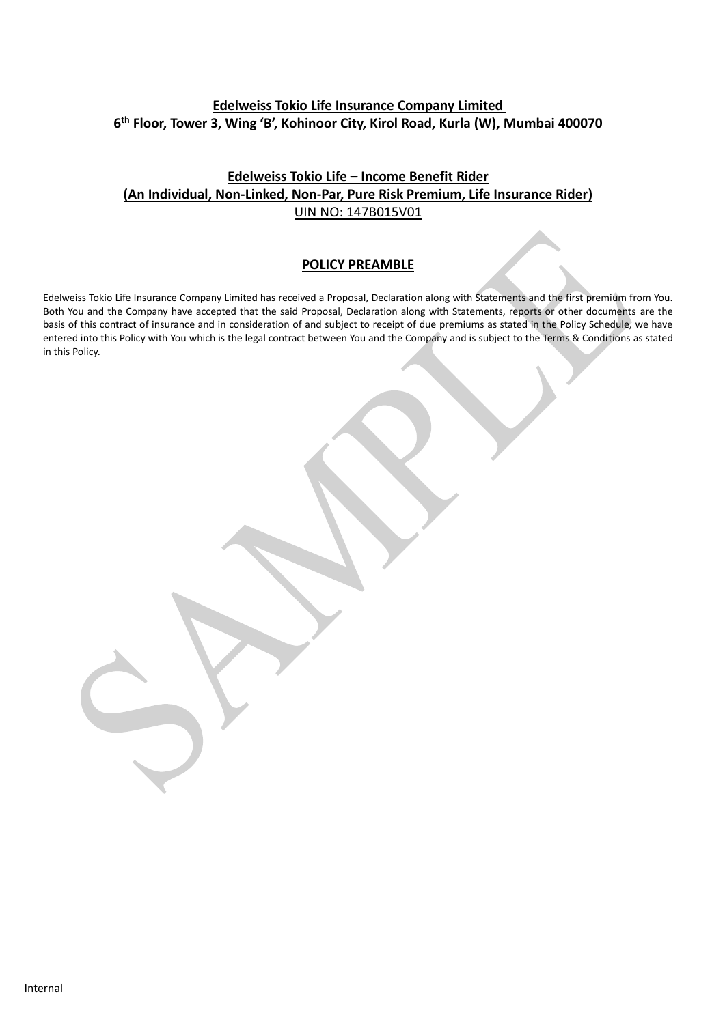# **Edelweiss Tokio Life Insurance Company Limited 6 th Floor, Tower 3, Wing 'B', Kohinoor City, Kirol Road, Kurla (W), Mumbai 400070**

# **Edelweiss Tokio Life – Income Benefit Rider (An Individual, Non-Linked, Non-Par, Pure Risk Premium, Life Insurance Rider)** UIN NO: 147B015V01

### **POLICY PREAMBLE**

Edelweiss Tokio Life Insurance Company Limited has received a Proposal, Declaration along with Statements and the first premium from You. Both You and the Company have accepted that the said Proposal, Declaration along with Statements, reports or other documents are the basis of this contract of insurance and in consideration of and subject to receipt of due premiums as stated in the Policy Schedule, we have entered into this Policy with You which is the legal contract between You and the Company and is subject to the Terms & Conditions as stated in this Policy.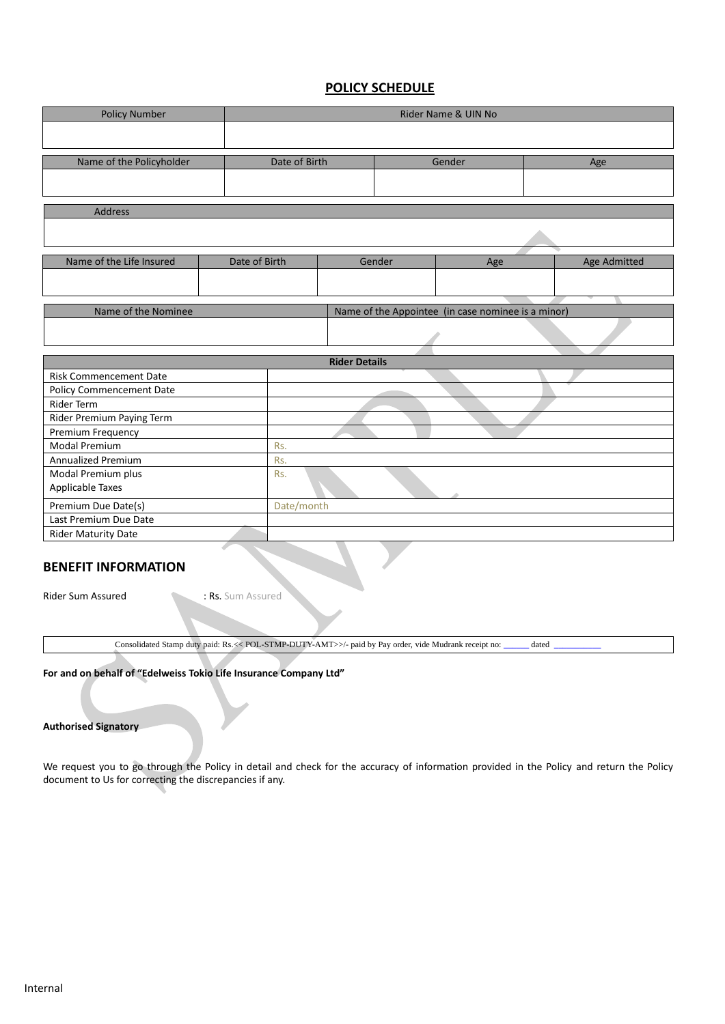### **POLICY SCHEDULE**

| <b>Policy Number</b>                                                      |  | Rider Name & UIN No |                      |        |     |  |              |
|---------------------------------------------------------------------------|--|---------------------|----------------------|--------|-----|--|--------------|
|                                                                           |  |                     |                      |        |     |  |              |
|                                                                           |  |                     |                      |        |     |  |              |
| Name of the Policyholder                                                  |  | Date of Birth       |                      | Gender |     |  | Age          |
|                                                                           |  |                     |                      |        |     |  |              |
|                                                                           |  |                     |                      |        |     |  |              |
| <b>Address</b>                                                            |  |                     |                      |        |     |  |              |
|                                                                           |  |                     |                      |        |     |  |              |
| Name of the Life Insured                                                  |  | Date of Birth       |                      | Gender | Age |  | Age Admitted |
|                                                                           |  |                     |                      |        |     |  |              |
|                                                                           |  |                     |                      |        |     |  |              |
| Name of the Nominee<br>Name of the Appointee (in case nominee is a minor) |  |                     |                      |        |     |  |              |
|                                                                           |  |                     |                      |        |     |  |              |
|                                                                           |  |                     | <b>Rider Details</b> |        |     |  |              |
| <b>Risk Commencement Date</b>                                             |  |                     |                      |        |     |  |              |
| <b>Policy Commencement Date</b>                                           |  |                     |                      |        |     |  |              |
| <b>Rider Term</b>                                                         |  |                     |                      |        |     |  |              |
| Rider Premium Paying Term                                                 |  |                     |                      |        |     |  |              |
| Premium Frequency                                                         |  |                     |                      |        |     |  |              |
| <b>Modal Premium</b>                                                      |  | Rs.                 |                      |        |     |  |              |
| <b>Annualized Premium</b><br>Rs.                                          |  |                     |                      |        |     |  |              |
| Modal Premium plus                                                        |  | Rs.                 |                      |        |     |  |              |
| Applicable Taxes                                                          |  |                     |                      |        |     |  |              |
| Date/month<br>Premium Due Date(s)                                         |  |                     |                      |        |     |  |              |
| Last Premium Due Date                                                     |  |                     |                      |        |     |  |              |
| Rider Maturity Date                                                       |  |                     |                      |        |     |  |              |

### **BENEFIT INFORMATION**

Rider Sum Assured : Rs. Sum Assured

Consolidated Stamp duty paid: Rs.<< POL-STMP-DUTY-AMT>>/- paid by Pay order, vide Mudrank receipt no: **\_\_\_\_\_\_** dated **\_\_\_\_\_\_\_\_\_\_\_**

**For and on behalf of "Edelweiss Tokio Life Insurance Company Ltd"** 

### **Authorised Signatory**

We request you to go through the Policy in detail and check for the accuracy of information provided in the Policy and return the Policy document to Us for correcting the discrepancies if any.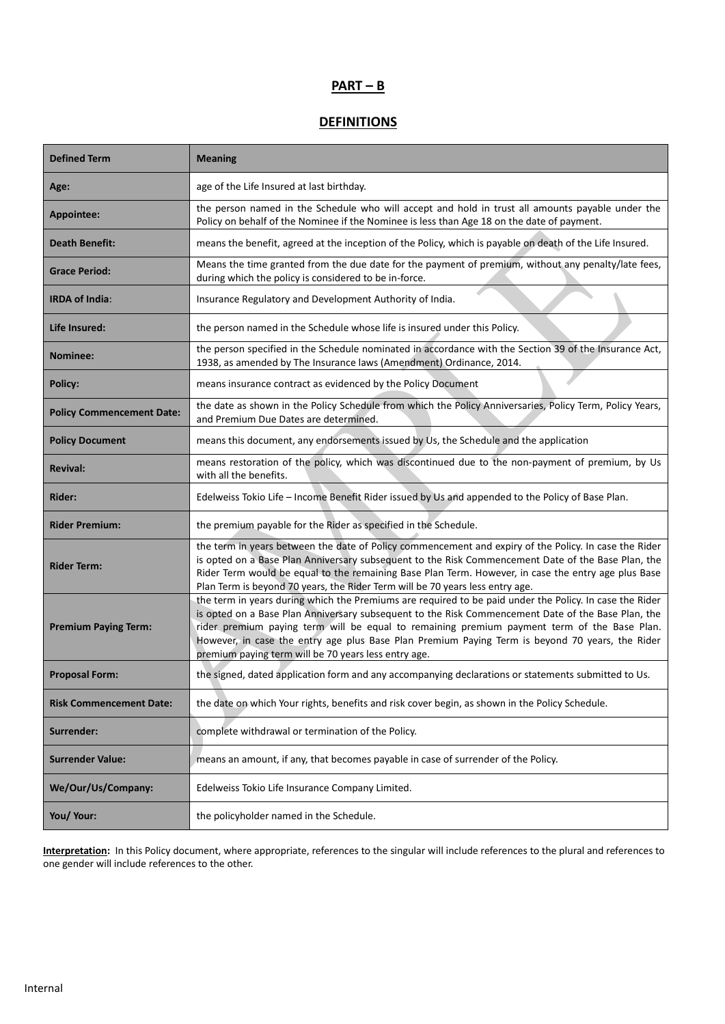# **PART – B**

# **DEFINITIONS**

| <b>Defined Term</b>              | <b>Meaning</b>                                                                                                                                                                                                                                                                                                                                                                                                                                                          |
|----------------------------------|-------------------------------------------------------------------------------------------------------------------------------------------------------------------------------------------------------------------------------------------------------------------------------------------------------------------------------------------------------------------------------------------------------------------------------------------------------------------------|
| Age:                             | age of the Life Insured at last birthday.                                                                                                                                                                                                                                                                                                                                                                                                                               |
| Appointee:                       | the person named in the Schedule who will accept and hold in trust all amounts payable under the<br>Policy on behalf of the Nominee if the Nominee is less than Age 18 on the date of payment.                                                                                                                                                                                                                                                                          |
| <b>Death Benefit:</b>            | means the benefit, agreed at the inception of the Policy, which is payable on death of the Life Insured.                                                                                                                                                                                                                                                                                                                                                                |
| <b>Grace Period:</b>             | Means the time granted from the due date for the payment of premium, without any penalty/late fees,<br>during which the policy is considered to be in-force.                                                                                                                                                                                                                                                                                                            |
| <b>IRDA of India:</b>            | Insurance Regulatory and Development Authority of India.                                                                                                                                                                                                                                                                                                                                                                                                                |
| Life Insured:                    | the person named in the Schedule whose life is insured under this Policy.                                                                                                                                                                                                                                                                                                                                                                                               |
| <b>Nominee:</b>                  | the person specified in the Schedule nominated in accordance with the Section 39 of the Insurance Act,<br>1938, as amended by The Insurance laws (Amendment) Ordinance, 2014.                                                                                                                                                                                                                                                                                           |
| Policy:                          | means insurance contract as evidenced by the Policy Document                                                                                                                                                                                                                                                                                                                                                                                                            |
| <b>Policy Commencement Date:</b> | the date as shown in the Policy Schedule from which the Policy Anniversaries, Policy Term, Policy Years,<br>and Premium Due Dates are determined.                                                                                                                                                                                                                                                                                                                       |
| <b>Policy Document</b>           | means this document, any endorsements issued by Us, the Schedule and the application                                                                                                                                                                                                                                                                                                                                                                                    |
| <b>Revival:</b>                  | means restoration of the policy, which was discontinued due to the non-payment of premium, by Us<br>with all the benefits.                                                                                                                                                                                                                                                                                                                                              |
| Rider:                           | Edelweiss Tokio Life - Income Benefit Rider issued by Us and appended to the Policy of Base Plan.                                                                                                                                                                                                                                                                                                                                                                       |
| <b>Rider Premium:</b>            | the premium payable for the Rider as specified in the Schedule.                                                                                                                                                                                                                                                                                                                                                                                                         |
| <b>Rider Term:</b>               | the term in years between the date of Policy commencement and expiry of the Policy. In case the Rider<br>is opted on a Base Plan Anniversary subsequent to the Risk Commencement Date of the Base Plan, the<br>Rider Term would be equal to the remaining Base Plan Term. However, in case the entry age plus Base<br>Plan Term is beyond 70 years, the Rider Term will be 70 years less entry age.                                                                     |
| <b>Premium Paying Term:</b>      | the term in years during which the Premiums are required to be paid under the Policy. In case the Rider<br>is opted on a Base Plan Anniversary subsequent to the Risk Commencement Date of the Base Plan, the<br>rider premium paying term will be equal to remaining premium payment term of the Base Plan.<br>However, in case the entry age plus Base Plan Premium Paying Term is beyond 70 years, the Rider<br>premium paying term will be 70 years less entry age. |
| <b>Proposal Form:</b>            | the signed, dated application form and any accompanying declarations or statements submitted to Us.                                                                                                                                                                                                                                                                                                                                                                     |
| <b>Risk Commencement Date:</b>   | the date on which Your rights, benefits and risk cover begin, as shown in the Policy Schedule.                                                                                                                                                                                                                                                                                                                                                                          |
| Surrender:                       | complete withdrawal or termination of the Policy.                                                                                                                                                                                                                                                                                                                                                                                                                       |
| <b>Surrender Value:</b>          | means an amount, if any, that becomes payable in case of surrender of the Policy.                                                                                                                                                                                                                                                                                                                                                                                       |
| We/Our/Us/Company:               | Edelweiss Tokio Life Insurance Company Limited.                                                                                                                                                                                                                                                                                                                                                                                                                         |
| You/ Your:                       | the policyholder named in the Schedule.                                                                                                                                                                                                                                                                                                                                                                                                                                 |

**Interpretation:** In this Policy document, where appropriate, references to the singular will include references to the plural and references to one gender will include references to the other.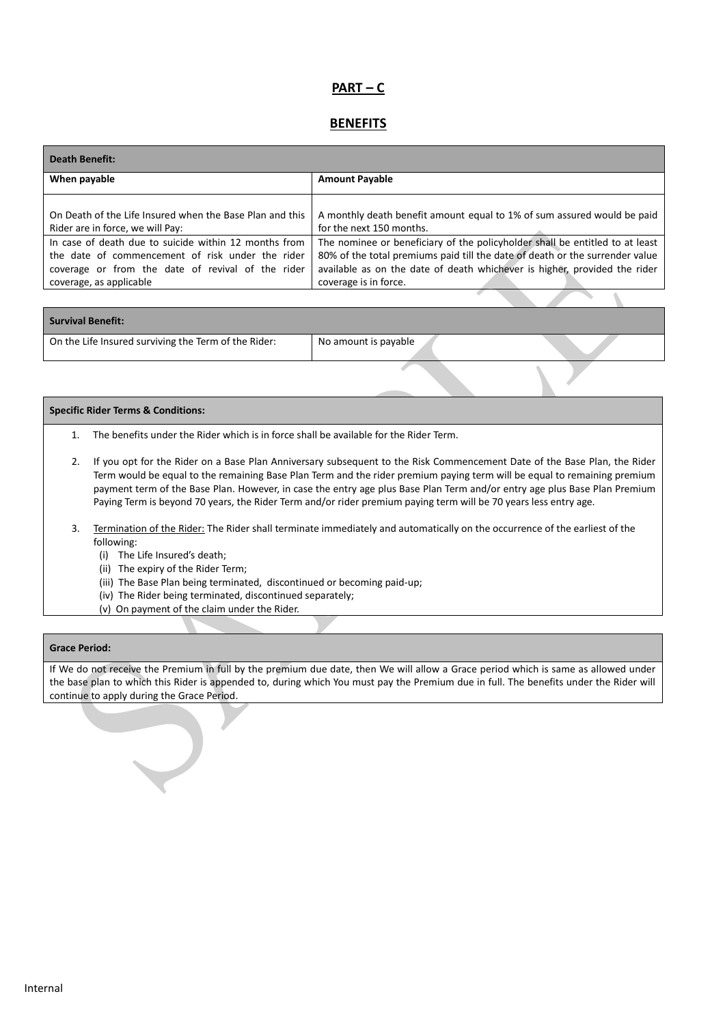# **PART – C**

### **BENEFITS**

| <b>Death Benefit:</b>                                                                                                                                                                     |                                                                                                                                                                                                                                                                    |
|-------------------------------------------------------------------------------------------------------------------------------------------------------------------------------------------|--------------------------------------------------------------------------------------------------------------------------------------------------------------------------------------------------------------------------------------------------------------------|
| When payable                                                                                                                                                                              | <b>Amount Payable</b>                                                                                                                                                                                                                                              |
| On Death of the Life Insured when the Base Plan and this                                                                                                                                  | A monthly death benefit amount equal to 1% of sum assured would be paid                                                                                                                                                                                            |
| Rider are in force, we will Pay:                                                                                                                                                          | for the next 150 months.                                                                                                                                                                                                                                           |
| In case of death due to suicide within 12 months from<br>the date of commencement of risk under the rider<br>coverage or from the date of revival of the rider<br>coverage, as applicable | The nominee or beneficiary of the policyholder shall be entitled to at least<br>80% of the total premiums paid till the date of death or the surrender value<br>available as on the date of death whichever is higher, provided the rider<br>coverage is in force. |

| Survival Benefit:                                    |                      |  |
|------------------------------------------------------|----------------------|--|
| On the Life Insured surviving the Term of the Rider: | No amount is payable |  |

#### **Specific Rider Terms & Conditions:**

- 1. The benefits under the Rider which is in force shall be available for the Rider Term.
- 2. If you opt for the Rider on a Base Plan Anniversary subsequent to the Risk Commencement Date of the Base Plan, the Rider Term would be equal to the remaining Base Plan Term and the rider premium paying term will be equal to remaining premium payment term of the Base Plan. However, in case the entry age plus Base Plan Term and/or entry age plus Base Plan Premium Paying Term is beyond 70 years, the Rider Term and/or rider premium paying term will be 70 years less entry age.
- 3. Termination of the Rider: The Rider shall terminate immediately and automatically on the occurrence of the earliest of the following:
	- (i) The Life Insured's death;
	- (ii) The expiry of the Rider Term;
	- (iii) The Base Plan being terminated, discontinued or becoming paid-up;
	- (iv) The Rider being terminated, discontinued separately;
	- (v) On payment of the claim under the Rider.

#### **Grace Period:**

If We do not receive the Premium in full by the premium due date, then We will allow a Grace period which is same as allowed under the base plan to which this Rider is appended to, during which You must pay the Premium due in full. The benefits under the Rider will continue to apply during the Grace Period.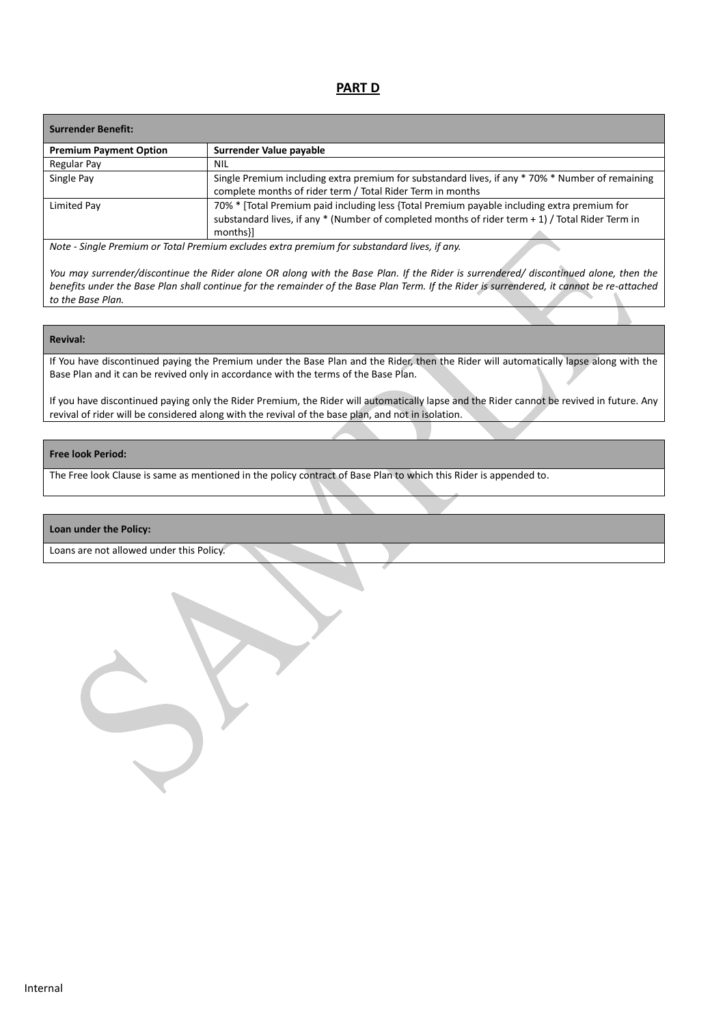### **PART D**

| <b>Surrender Benefit:</b>     |                                                                                                                                                                                                                 |
|-------------------------------|-----------------------------------------------------------------------------------------------------------------------------------------------------------------------------------------------------------------|
| <b>Premium Payment Option</b> | Surrender Value payable                                                                                                                                                                                         |
| Regular Pay                   | <b>NIL</b>                                                                                                                                                                                                      |
| Single Pay                    | Single Premium including extra premium for substandard lives, if any * 70% * Number of remaining<br>complete months of rider term / Total Rider Term in months                                                  |
| Limited Pay                   | 70% * [Total Premium paid including less {Total Premium payable including extra premium for<br>substandard lives, if any $*$ (Number of completed months of rider term $+1$ ) / Total Rider Term in<br>months}] |
| $\cdots$ $\cdots$             |                                                                                                                                                                                                                 |

*Note - Single Premium or Total Premium excludes extra premium for substandard lives, if any.* 

*You may surrender/discontinue the Rider alone OR along with the Base Plan. If the Rider is surrendered/ discontinued alone, then the*  benefits under the Base Plan shall continue for the remainder of the Base Plan Term. If the Rider is surrendered, it cannot be re-attached *to the Base Plan.*

### **Revival:**

If You have discontinued paying the Premium under the Base Plan and the Rider, then the Rider will automatically lapse along with the Base Plan and it can be revived only in accordance with the terms of the Base Plan.

If you have discontinued paying only the Rider Premium, the Rider will automatically lapse and the Rider cannot be revived in future. Any revival of rider will be considered along with the revival of the base plan, and not in isolation.

### **Free look Period:**

The Free look Clause is same as mentioned in the policy contract of Base Plan to which this Rider is appended to.

#### **Loan under the Policy:**

Loans are not allowed under this Policy.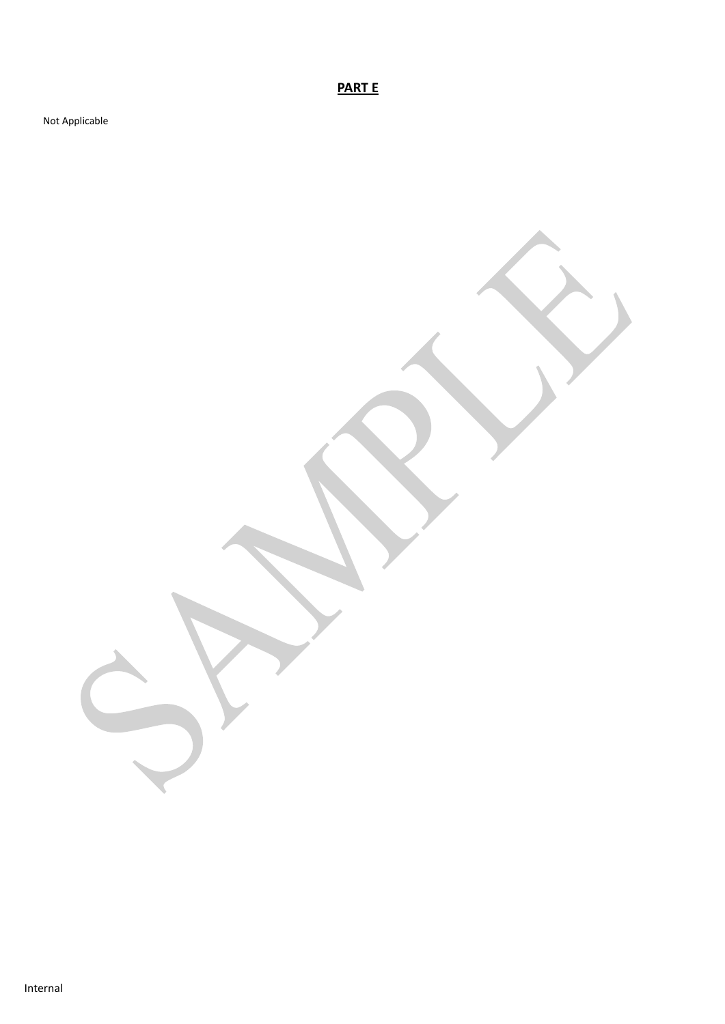**PART E**

Not Applicable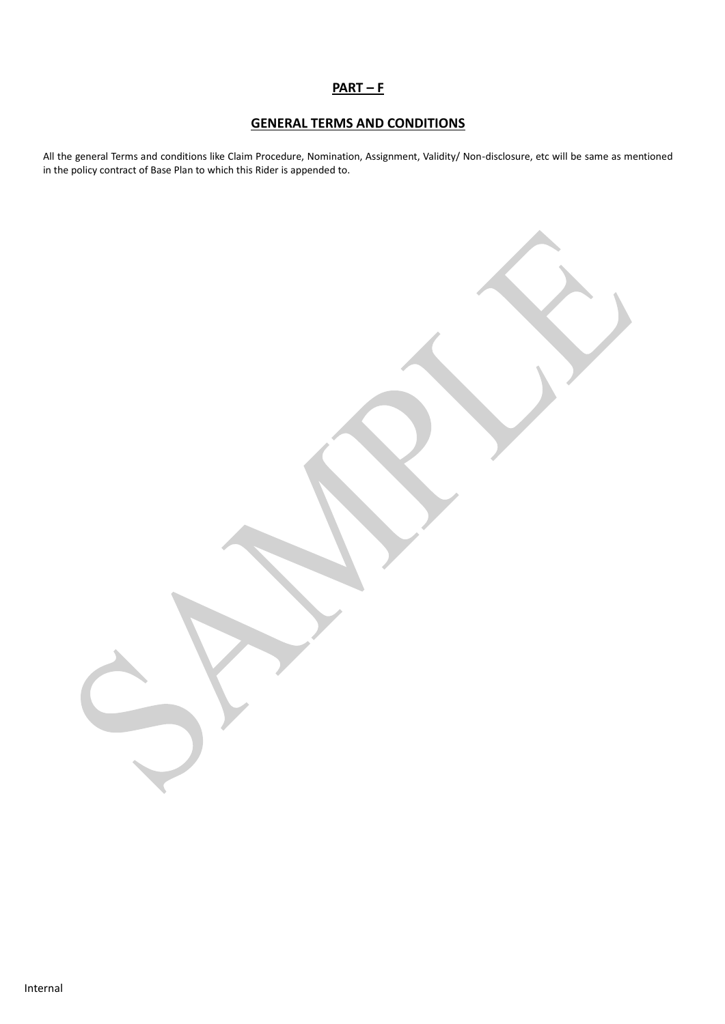## **PART – F**

# **GENERAL TERMS AND CONDITIONS**

All the general Terms and conditions like Claim Procedure, Nomination, Assignment, Validity/ Non-disclosure, etc will be same as mentioned in the policy contract of Base Plan to which this Rider is appended to.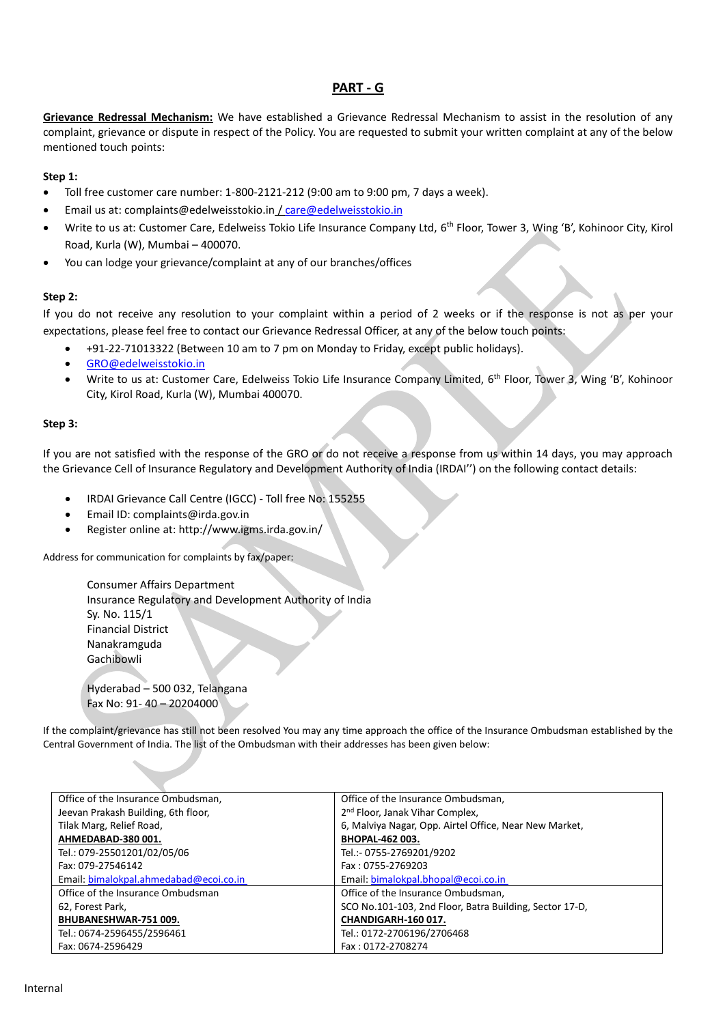## **PART - G**

**Grievance Redressal Mechanism:** We have established a Grievance Redressal Mechanism to assist in the resolution of any complaint, grievance or dispute in respect of the Policy. You are requested to submit your written complaint at any of the below mentioned touch points:

### **Step 1:**

- Toll free customer care number: 1-800-2121-212 (9:00 am to 9:00 pm, 7 days a week).
- Email us at: complaints@edelweisstokio.in [/ care@edelweisstokio.in](mailto:care@edelweisstokio.in)
- Write to us at: Customer Care, Edelweiss Tokio Life Insurance Company Ltd, 6<sup>th</sup> Floor, Tower 3, Wing 'B', Kohinoor City, Kirol Road, Kurla (W), Mumbai – 400070.
- You can lodge your grievance/complaint at any of our branches/offices

### **Step 2:**

If you do not receive any resolution to your complaint within a period of 2 weeks or if the response is not as per your expectations, please feel free to contact our Grievance Redressal Officer, at any of the below touch points:

- +91-22-71013322 (Between 10 am to 7 pm on Monday to Friday, except public holidays).
- [GRO@edelweisstokio.in](mailto:GRO@edelweisstokio.in)
- Write to us at: Customer Care, Edelweiss Tokio Life Insurance Company Limited, 6<sup>th</sup> Floor, Tower 3, Wing 'B', Kohinoor City, Kirol Road, Kurla (W), Mumbai 400070.

### **Step 3:**

If you are not satisfied with the response of the GRO or do not receive a response from us within 14 days, you may approach the Grievance Cell of Insurance Regulatory and Development Authority of India (IRDAI'') on the following contact details:

- IRDAI Grievance Call Centre (IGCC) Toll free No: 155255
- Email ID: complaints@irda.gov.in
- Register online at: http://www.igms.irda.gov.in/

Address for communication for complaints by fax/paper:

Consumer Affairs Department Insurance Regulatory and Development Authority of India Sy. No. 115/1 Financial District Nanakramguda Gachibowli

Hyderabad – 500 032, Telangana Fax No: 91- 40 – 20204000

If the complaint/grievance has still not been resolved You may any time approach the office of the Insurance Ombudsman established by the Central Government of India. The list of the Ombudsman with their addresses has been given below:

| Office of the Insurance Ombudsman,     | Office of the Insurance Ombudsman,                      |
|----------------------------------------|---------------------------------------------------------|
| Jeevan Prakash Building, 6th floor,    | 2 <sup>nd</sup> Floor, Janak Vihar Complex,             |
| Tilak Marg, Relief Road,               | 6, Malviya Nagar, Opp. Airtel Office, Near New Market,  |
| AHMEDABAD-380 001.                     | <b>BHOPAL-462 003.</b>                                  |
| Tel.: 079-25501201/02/05/06            | Tel.:- 0755-2769201/9202                                |
| Fax: 079-27546142                      | Fax: 0755-2769203                                       |
| Email: bimalokpal.ahmedabad@ecoi.co.in | Email: bimalokpal.bhopal@ecoi.co.in                     |
| Office of the Insurance Ombudsman      | Office of the Insurance Ombudsman,                      |
| 62, Forest Park,                       | SCO No.101-103, 2nd Floor, Batra Building, Sector 17-D, |
| BHUBANESHWAR-751 009.                  | CHANDIGARH-160 017.                                     |
| Tel.: 0674-2596455/2596461             | Tel.: 0172-2706196/2706468                              |
| Fax: 0674-2596429                      | Fax: 0172-2708274                                       |